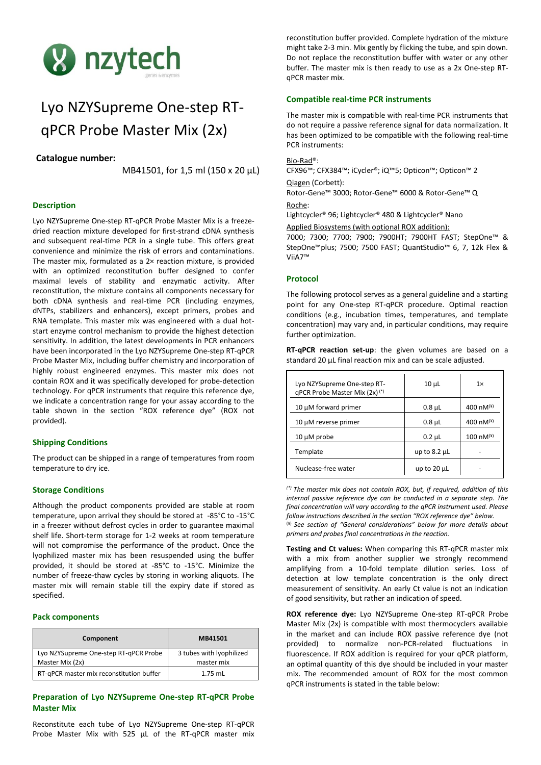

# Lyo NZYSupreme One-step RTqPCR Probe Master Mix (2x)

# **Catalogue number:**

MB41501, for 1,5 ml (150 x 20 µL)

# **Description**

Lyo NZYSupreme One-step RT-qPCR Probe Master Mix is a freezedried reaction mixture developed for first-strand cDNA synthesis and subsequent real-time PCR in a single tube. This offers great convenience and minimize the risk of errors and contaminations. The master mix, formulated as a 2× reaction mixture, is provided with an optimized reconstitution buffer designed to confer maximal levels of stability and enzymatic activity. After reconstitution, the mixture contains all components necessary for both cDNA synthesis and real-time PCR (including enzymes, dNTPs, stabilizers and enhancers), except primers, probes and RNA template. This master mix was engineered with a dual hotstart enzyme control mechanism to provide the highest detection sensitivity. In addition, the latest developments in PCR enhancers have been incorporated in the Lyo NZYSupreme One-step RT-qPCR Probe Master Mix, including buffer chemistry and incorporation of highly robust engineered enzymes. This master mix does not contain ROX and it was specifically developed for probe-detection technology. For qPCR instruments that require this reference dye, we indicate a concentration range for your assay according to the table shown in the section "ROX reference dye" (ROX not provided).

## **Shipping Conditions**

The product can be shipped in a range of temperatures from room temperature to dry ice.

## **Storage Conditions**

Although the product components provided are stable at room temperature, upon arrival they should be stored at -85°C to -15°C in a freezer without defrost cycles in order to guarantee maximal shelf life. Short-term storage for 1-2 weeks at room temperature will not compromise the performance of the product. Once the lyophilized master mix has been resuspended using the buffer provided, it should be stored at -85°C to -15°C. Minimize the number of freeze-thaw cycles by storing in working aliquots. The master mix will remain stable till the expiry date if stored as specified.

## **Pack components**

| Component                                                | MB41501                                |  |  |
|----------------------------------------------------------|----------------------------------------|--|--|
| Lyo NZYSupreme One-step RT-qPCR Probe<br>Master Mix (2x) | 3 tubes with lyophilized<br>master mix |  |  |
| RT-qPCR master mix reconstitution buffer                 | $1.75$ mL                              |  |  |

# **Preparation of Lyo NZYSupreme One-step RT-qPCR Probe Master Mix**

Reconstitute each tube of Lyo NZYSupreme One-step RT-qPCR Probe Master Mix with 525 μL of the RT-qPCR master mix

reconstitution buffer provided. Complete hydration of the mixture might take 2-3 min. Mix gently by flicking the tube, and spin down. Do not replace the reconstitution buffer with water or any other buffer. The master mix is then ready to use as a 2x One-step RTqPCR master mix.

# **Compatible real-time PCR instruments**

The master mix is compatible with real-time PCR instruments that do not require a passive reference signal for data normalization. It has been optimized to be compatible with the following real-time PCR instruments:

# Bio-Rad®:

CFX96™; CFX384™; iCycler®; iQ™5; Opticon™; Opticon™ 2

Qiagen (Corbett):

Rotor-Gene™ 3000; Rotor-Gene™ 6000 & Rotor-Gene™ Q Roche:

Lightcycler® 96; Lightcycler® 480 & Lightcycler® Nano

Applied Biosystems (with optional ROX addition):

7000; 7300; 7700; 7900; 7900HT; 7900HT FAST; StepOne™ & StepOne™plus; 7500; 7500 FAST; QuantStudio™ 6, 7, 12k Flex & ViiA7™

## **Protocol**

The following protocol serves as a general guideline and a starting point for any One-step RT-qPCR procedure. Optimal reaction conditions (e.g., incubation times, temperatures, and template concentration) may vary and, in particular conditions, may require further optimization.

|  |  | <b>RT-qPCR reaction set-up:</b> the given volumes are based on a |  |  |
|--|--|------------------------------------------------------------------|--|--|
|  |  | standard 20 µL final reaction mix and can be scale adjusted.     |  |  |

| Lyo NZYSupreme One-step RT-<br>qPCR Probe Master Mix $(2x)^{(*)}$ | $10 \mu L$        | $1\times$      |
|-------------------------------------------------------------------|-------------------|----------------|
| 10 µM forward primer                                              | $0.8 \mu L$       | 400 nM $(4)$   |
| 10 µM reverse primer                                              | $0.8 \mu L$       | 400 nM $(4)$   |
| $10 \mu M$ probe                                                  | $0.2 \mu L$       | 100 $nM^{(4)}$ |
| Template                                                          | up to $8.2 \mu L$ |                |
| Nuclease-free water                                               | up to $20 \mu L$  |                |

*(\*) The master mix does not contain ROX, but, if required, addition of this internal passive reference dye can be conducted in a separate step. The final concentration will vary according to the qPCR instrument used. Please follow instructions described in the section "ROX reference dye" below.* (¥) *See section of "General considerations" below for more details about* 

*primers and probes final concentrations in the reaction.*

**Testing and Ct values:** When comparing this RT-qPCR master mix with a mix from another supplier we strongly recommend amplifying from a 10-fold template dilution series. Loss of detection at low template concentration is the only direct measurement of sensitivity. An early Ct value is not an indication of good sensitivity, but rather an indication of speed.

**ROX reference dye:** Lyo NZYSupreme One-step RT-qPCR Probe Master Mix (2x) is compatible with most thermocyclers available in the market and can include ROX passive reference dye (not provided) to normalize non-PCR-related fluctuations in fluorescence. If ROX addition is required for your qPCR platform, an optimal quantity of this dye should be included in your master mix. The recommended amount of ROX for the most common qPCR instruments is stated in the table below: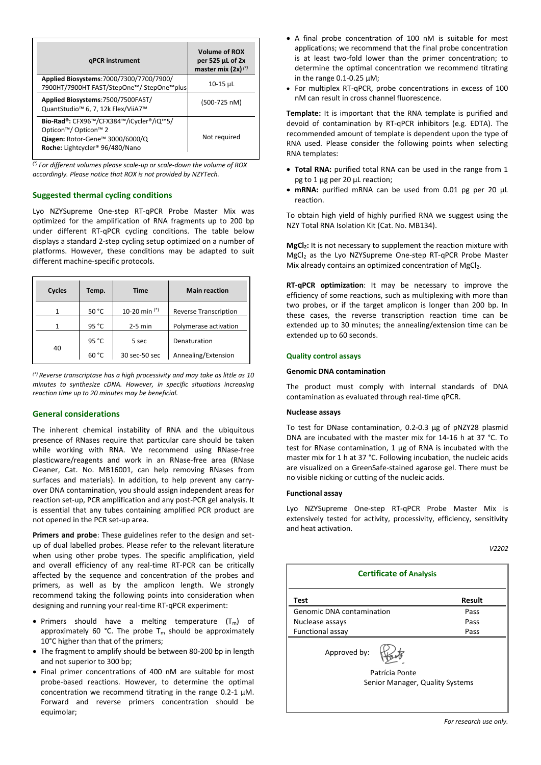| <b>gPCR</b> instrument                                                                                                                                                            | <b>Volume of ROX</b><br>per 525 µL of 2x<br>master mix $(2x)^{(*)}$ |
|-----------------------------------------------------------------------------------------------------------------------------------------------------------------------------------|---------------------------------------------------------------------|
| Applied Biosystems: 7000/7300/7700/7900/<br>7900HT/7900HT FAST/StepOne™/ StepOne™plus                                                                                             | $10-15$ µL                                                          |
| Applied Biosystems: 7500/7500FAST/<br>QuantStudio <sup>™</sup> 6, 7, 12k Flex/ViiA7™                                                                                              | $(500-725 nM)$                                                      |
| Bio-Rad®: CFX96™/CFX384™/iCycler®/iQ™5/<br>Opticon <sup>™</sup> / Opticon <sup>™</sup> 2<br><b>Qiagen:</b> Rotor-Gene™ 3000/6000/Q<br>Roche: Lightcycler <sup>®</sup> 96/480/Nano | Not required                                                        |

*(\*) For different volumes please scale-up or scale-down the volume of ROX accordingly. Please notice that ROX is not provided by NZYTech.*

# **Suggested thermal cycling conditions**

Lyo NZYSupreme One-step RT-qPCR Probe Master Mix was optimized for the amplification of RNA fragments up to 200 bp under different RT-qPCR cycling conditions. The table below displays a standard 2-step cycling setup optimized on a number of platforms. However, these conditions may be adapted to suit different machine-specific protocols.

| Cycles | Temp. | <b>Time</b>     | <b>Main reaction</b>         |
|--------|-------|-----------------|------------------------------|
|        | 50 °C | 10-20 min $(*)$ | <b>Reverse Transcription</b> |
| 1      | 95 °C | $2-5$ min       | Polymerase activation        |
|        | 95 °C | 5 sec           | Denaturation                 |
| 40     | 60 °C | 30 sec-50 sec   | Annealing/Extension          |

*(\*) Reverse transcriptase has a high processivity and may take as little as 10 minutes to synthesize cDNA. However, in specific situations increasing reaction time up to 20 minutes may be beneficial.*

# **General considerations**

The inherent chemical instability of RNA and the ubiquitous presence of RNases require that particular care should be taken while working with RNA. We recommend using RNase-free plasticware/reagents and work in an RNase-free area (RNase Cleaner, Cat. No. MB16001, can help removing RNases from surfaces and materials). In addition, to help prevent any carryover DNA contamination, you should assign independent areas for reaction set-up, PCR amplification and any post-PCR gel analysis. It is essential that any tubes containing amplified PCR product are not opened in the PCR set-up area.

**Primers and probe**: These guidelines refer to the design and setup of dual labelled probes. Please refer to the relevant literature when using other probe types. The specific amplification, yield and overall efficiency of any real-time RT-PCR can be critically affected by the sequence and concentration of the probes and primers, as well as by the amplicon length. We strongly recommend taking the following points into consideration when designing and running your real-time RT-qPCR experiment:

- Primers should have a melting temperature  $(T_m)$  of approximately 60 °C. The probe  $T_m$  should be approximately 10°C higher than that of the primers;
- The fragment to amplify should be between 80-200 bp in length and not superior to 300 bp;
- Final primer concentrations of 400 nM are suitable for most probe-based reactions. However, to determine the optimal concentration we recommend titrating in the range 0.2-1 μM. Forward and reverse primers concentration should be equimolar;
- A final probe concentration of 100 nM is suitable for most applications; we recommend that the final probe concentration is at least two-fold lower than the primer concentration; to determine the optimal concentration we recommend titrating in the range 0.1-0.25 μM;
- For multiplex RT-qPCR, probe concentrations in excess of 100 nM can result in cross channel fluorescence.

**Template:** It is important that the RNA template is purified and devoid of contamination by RT-qPCR inhibitors (e.g. EDTA). The recommended amount of template is dependent upon the type of RNA used. Please consider the following points when selecting RNA templates:

- **Total RNA:** purified total RNA can be used in the range from 1 pg to 1 μg per 20 μL reaction;
- **mRNA:** purified mRNA can be used from 0.01 pg per 20 μL reaction.

To obtain high yield of highly purified RNA we suggest using the NZY Total RNA Isolation Kit (Cat. No. MB134).

**MgCl2:** It is not necessary to supplement the reaction mixture with MgCl<sub>2</sub> as the Lyo NZYSupreme One-step RT-qPCR Probe Master Mix already contains an optimized concentration of MgCl<sub>2</sub>.

**RT-qPCR optimization**: It may be necessary to improve the efficiency of some reactions, such as multiplexing with more than two probes, or if the target amplicon is longer than 200 bp. In these cases, the reverse transcription reaction time can be extended up to 30 minutes; the annealing/extension time can be extended up to 60 seconds.

#### **Quality control assays**

#### **Genomic DNA contamination**

The product must comply with internal standards of DNA contamination as evaluated through real-time qPCR.

#### **Nuclease assays**

To test for DNase contamination, 0.2-0.3 μg of pNZY28 plasmid DNA are incubated with the master mix for 14-16 h at 37 °C. To test for RNase contamination, 1 μg of RNA is incubated with the master mix for 1 h at 37 °C. Following incubation, the nucleic acids are visualized on a GreenSafe-stained agarose gel. There must be no visible nicking or cutting of the nucleic acids.

## **Functional assay**

Lyo NZYSupreme One-step RT-qPCR Probe Master Mix is extensively tested for activity, processivity, efficiency, sensitivity and heat activation.

*V2202*